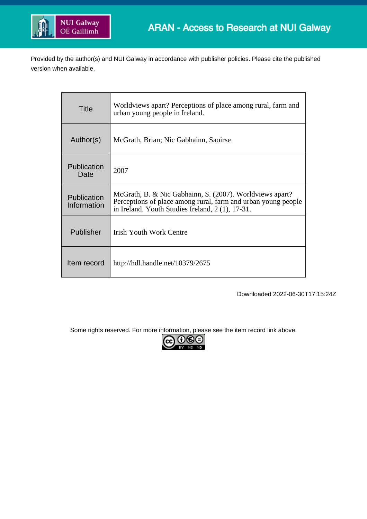

Provided by the author(s) and NUI Galway in accordance with publisher policies. Please cite the published version when available.

| Title                      | Worldviews apart? Perceptions of place among rural, farm and<br>urban young people in Ireland.                                                                               |
|----------------------------|------------------------------------------------------------------------------------------------------------------------------------------------------------------------------|
| Author(s)                  | McGrath, Brian; Nic Gabhainn, Saoirse                                                                                                                                        |
| Publication<br>Date        | 2007                                                                                                                                                                         |
| Publication<br>Information | McGrath, B. & Nic Gabhainn, S. (2007). Worldviews apart?<br>Perceptions of place among rural, farm and urban young people<br>in Ireland. Youth Studies Ireland, 2(1), 17-31. |
| Publisher                  | Irish Youth Work Centre                                                                                                                                                      |
| Item record                | http://hdl.handle.net/10379/2675                                                                                                                                             |

Downloaded 2022-06-30T17:15:24Z

Some rights reserved. For more information, please see the item record link above.

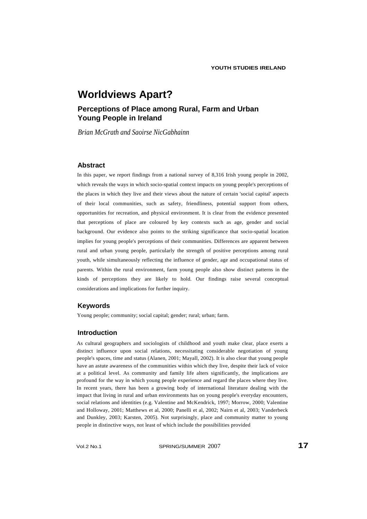## **Perceptions of Place among Rural, Farm and Urban Young People in Ireland**

*Brian McGrath and Saoirse NicGabhainn*

## **Abstract**

In this paper, we report findings from a national survey of 8,316 Irish young people in 2002, which reveals the ways in which socio-spatial context impacts on young people's perceptions of the places in which they live and their views about the nature of certain 'social capital' aspects of their local communities, such as safety, friendliness, potential support from others, opportunities for recreation, and physical environment. It is clear from the evidence presented that perceptions of place are coloured by key contexts such as age, gender and social background. Our evidence also points to the striking significance that socio-spatial location implies for young people's perceptions of their communities. Differences are apparent between rural and urban young people, particularly the strength of positive perceptions among rural youth, while simultaneously reflecting the influence of gender, age and occupational status of parents. Within the rural environment, farm young people also show distinct patterns in the kinds of perceptions they are likely to hold. Our findings raise several conceptual considerations and implications for further inquiry.

## **Keywords**

Young people; community; social capital; gender; rural; urban; farm.

## **Introduction**

As cultural geographers and sociologists of childhood and youth make clear, place exerts a distinct influence upon social relations, necessitating considerable negotiation of young people's spaces, time and status (Alanen, 2001; Mayall, 2002). It is also clear that young people have an astute awareness of the communities within which they live, despite their lack of voice at a political level. As community and family life alters significantly, the implications are profound for the way in which young people experience and regard the places where they live. In recent years, there has been a growing body of international literature dealing with the impact that living in rural and urban environments has on young people's everyday encounters, social relations and identities (e.g. Valentine and McKendrick, 1997; Morrow, 2000; Valentine and Holloway, 2001; Matthews et al, 2000; Panelli et al, 2002; Nairn et al, 2003; Vanderbeck and Dunkley, 2003; Karsten, 2005). Not surprisingly, place and community matter to young people in distinctive ways, not least of which include the possibilities provided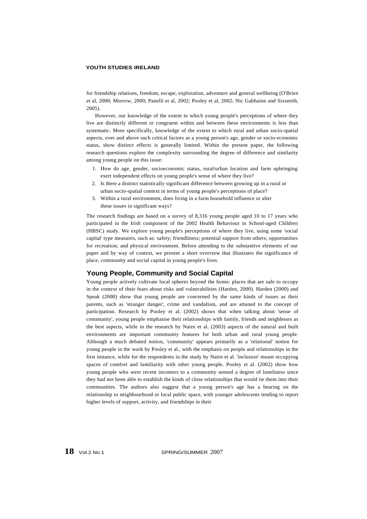for friendship relations, freedom, escape, exploration, adventure and general wellbeing (O'Brien et al, 2000; Morrow, 2000; Panelli et al, 2002; Pooley et al, 2002; Nic Gabhainn and Sixsmith, 2005).

However, our knowledge of the extent to which young people's perceptions of where they live are distinctly different or congruent within and between these environments is less than systematic. More specifically, knowledge of the extent to which rural and urban socio-spatial aspects, over and above such critical factors as a young person's age, gender or socio-economic status, show distinct effects is generally limited. Within the present paper, the following research questions explore the complexity surrounding the degree of difference and similarity among young people on this issue:

- 1. How do age, gender, socioeconomic status, rural/urban location and farm upbringing exert independent effects on young people's sense of where they live?
- 2. Is there a distinct statistically significant difference between growing up in a rural or urban socio-spatial context in terms of young people's perceptions of place?
- 3. Within a rural environment, does living in a farm household influence or alter these issues in significant ways?

The research findings are based on a survey of 8,316 young people aged 10 to 17 years who participated in the Irish component of the 2002 Health Behaviour in School-aged Children (HBSC) study. We explore young people's perceptions of where they live, using some 'social capital' type measures, such as: safety; friendliness; potential support from others; opportunities for recreation; and physical environment. Before attending to the substantive elements of our paper and by way of context, we present a short overview that illustrates the significance of place, community and social capital in young people's lives.

## **Young People, Community and Social Capital**

Young people actively cultivate local spheres beyond the home; places that are safe to occupy in the context of their fears about risks and vulnerabilities (Harden, 2000). Harden (2000) and Speak (2000) show that young people are concerned by the same kinds of issues as their parents, such as 'stranger danger', crime and vandalism, and are attuned to the concept of participation. Research by Pooley et al. (2002) shows that when talking about 'sense of community', young people emphasise their relationships with family, friends and neighbours as the best aspects, while in the research by Nairn et al. (2003) aspects of the natural and built environments are important community features for both urban and rural young people. Although a much debated notion, 'community' appears primarily as a 'relational' notion for young people in the work by Pooley et al., with the emphasis on people and relationships in the first instance, while for the respondents in the study by Nairn et al. 'inclusion' meant occupying spaces of comfort and familiarity with other young people. Pooley et al. (2002) show how young people who were recent incomers to a community sensed a degree of loneliness since they had not been able to establish the kinds of close relationships that would tie them into their communities. The authors also suggest that a young person's age has a bearing on the relationship to neighbourhood or local public space, with younger adolescents tending to report higher levels of support, activity, and friendships in their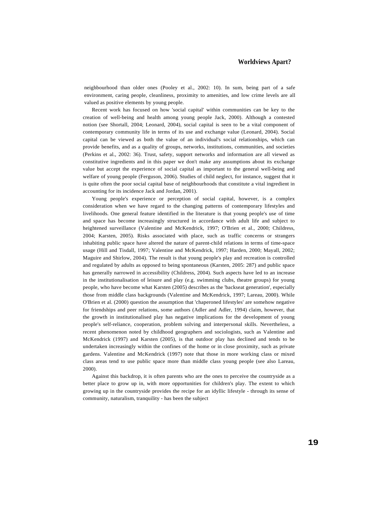neighbourhood than older ones (Pooley et al., 2002: 10). In sum, being part of a safe environment, caring people, cleanliness, proximity to amenities, and low crime levels are all valued as positive elements by young people.

Recent work has focused on how 'social capital' within communities can be key to the creation of well-being and health among young people Jack, 2000). Although a contested notion (see Shortall, 2004; Leonard, 2004), social capital is seen to be a vital component of contemporary community life in terms of its use and exchange value (Leonard, 2004). Social capital can be viewed as both the value of an individual's social relationships, which can provide benefits, and as a quality of groups, networks, institutions, communities, and societies (Perkins et al., 2002: 36). Trust, safety, support networks and information are all viewed as constitutive ingredients and in this paper we don't make any assumptions about its exchange value but accept the experience of social capital as important to the general well-being and welfare of young people (Ferguson, 2006). Studies of child neglect, for instance, suggest that it is quite often the poor social capital base of neighbourhoods that constitute a vital ingredient in accounting for its incidence Jack and Jordan, 2001).

Young people's experience or perception of social capital, however, is a complex consideration when we have regard to the changing patterns of contemporary lifestyles and livelihoods. One general feature identified in the literature is that young people's use of time and space has become increasingly structured in accordance with adult life and subject to heightened surveillance (Valentine and McKendrick, 1997; O'Brien et al., 2000; Childress, 2004; Karsten, 2005). Risks associated with place, such as traffic concerns or strangers inhabiting public space have altered the nature of parent-child relations in terms of time-space usage (Hill and Tisdall, 1997; Valentine and McKendrick, 1997; Harden, 2000; Mayall, 2002; Maguire and Shirlow, 2004). The result is that young people's play and recreation is controlled and regulated by adults as opposed to being spontaneous (Karsten, 2005: 287) and public space has generally narrowed in accessibility (Childress, 2004). Such aspects have led to an increase in the institutionalisation of leisure and play (e.g. swimming clubs, theatre groups) for young people, who have become what Karsten (2005) describes as the 'backseat generation', especially those from middle class backgrounds (Valentine and McKendrick, 1997; Lareau, 2000). While O'Brien et al. (2000) question the assumption that 'chaperoned lifestyles' are somehow negative for friendships and peer relations, some authors (Adler and Adler, 1994) claim, however, that the growth in institutionalised play has negative implications for the development of young people's self-reliance, cooperation, problem solving and interpersonal skills. Nevertheless, a recent phenomenon noted by childhood geographers and sociologists, such as Valentine and McKendrick (1997) and Karsten (2005), is that outdoor play has declined and tends to be undertaken increasingly within the confines of the home or in close proximity, such as private gardens. Valentine and McKendrick (1997) note that those in more working class or mixed class areas tend to use public space more than middle class young people (see also Lareau, 2000).

Against this backdrop, it is often parents who are the ones to perceive the countryside as a better place to grow up in, with more opportunities for children's play. The extent to which growing up in the countryside provides the recipe for an idyllic lifestyle - through its sense of community, naturalism, tranquility - has been the subject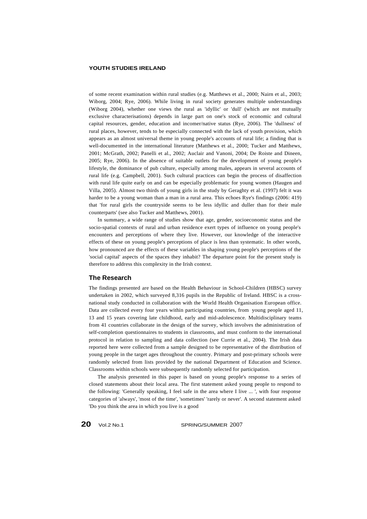of some recent examination within rural studies (e.g. Matthews et al., 2000; Nairn et al., 2003; Wiborg, 2004; Rye, 2006). While living in rural society generates multiple understandings (Wiborg 2004), whether one views the rural as 'idyllic' or 'dull' (which are not mutually exclusive characterisations) depends in large part on one's stock of economic and cultural capital resources, gender, education and incomer/native status (Rye, 2006). The 'dullness' of rural places, however, tends to be especially connected with the lack of youth provision, which appears as an almost universal theme in young people's accounts of rural life; a finding that is well-documented in the international literature (Matthews et al., 2000; Tucker and Matthews, 2001; McGrath, 2002; Panelli et al., 2002; Auclair and Vanoni, 2004; De Roiste and Dineen, 2005; Rye, 2006). In the absence of suitable outlets for the development of young people's lifestyle, the dominance of pub culture, especially among males, appears in several accounts of rural life (e.g. Campbell, 2001). Such cultural practices can begin the process of disaffection with rural life quite early on and can be especially problematic for young women (Haugen and Villa, 2005). Almost two thirds of young girls in the study by Geraghty et al. (1997) felt it was harder to be a young woman than a man in a rural area. This echoes Rye's findings (2006: 419) that 'for rural girls the countryside seems to be less idyllic and duller than for their male counterparts' (see also Tucker and Matthews, 2001).

In summary, a wide range of studies show that age, gender, socioeconomic status and the socio-spatial contexts of rural and urban residence exert types of influence on young people's encounters and perceptions of where they live. However, our knowledge of the interactive effects of these on young people's perceptions of place is less than systematic. In other words, how pronounced are the effects of these variables in shaping young people's perceptions of the 'social capital' aspects of the spaces they inhabit? The departure point for the present study is therefore to address this complexity in the Irish context.

#### **The Research**

The findings presented are based on the Health Behaviour in School-Children (HBSC) survey undertaken in 2002, which surveyed 8,316 pupils in the Republic of Ireland. HBSC is a crossnational study conducted in collaboration with the World Health Organisation European office. Data are collected every four years within participating countries, from young people aged 11, 13 and 15 years covering late childhood, early and mid-adolescence. Multidisciplinary teams from 41 countries collaborate in the design of the survey, which involves the administration of self-completion questionnaires to students in classrooms, and must conform to the international protocol in relation to sampling and data collection (see Currie et al., 2004). The Irish data reported here were collected from a sample designed to be representative of the distribution of young people in the target ages throughout the country. Primary and post-primary schools were randomly selected from lists provided by the national Department of Education and Science. Classrooms within schools were subsequently randomly selected for participation.

The analysis presented in this paper is based on young people's response to a series of closed statements about their local area. The first statement asked young people to respond to the following: 'Generally speaking, I feel safe in the area where I live ... ', with four response categories of 'always', 'most of the time', 'sometimes' 'rarely or never'. A second statement asked 'Do you think the area in which you live is a good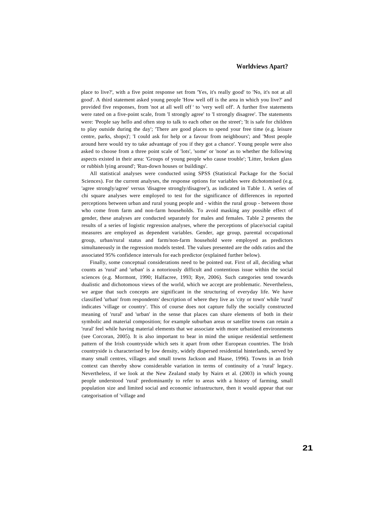place to live?', with a five point response set from 'Yes, it's really good' to 'No, it's not at all good'. A third statement asked young people 'How well off is the area in which you live?' and provided five responses, from 'not at all well off *'* to 'very well off'. A further five statements were rated on a five-point scale, from 'I strongly agree' to 'I strongly disagree'. The statements were: 'People say hello and often stop to talk to each other on the street'; 'It is safe for children to play outside during the day'; 'There are good places to spend your free time (e.g. leisure centre, parks, shops)'; 'I could ask for help or a favour from neighbours'; and 'Most people around here would try to take advantage of you if they got a chance'. Young people were also asked to choose from a three point scale of 'lots', 'some' or 'none' as to whether the following aspects existed in their area: 'Groups of young people who cause trouble'; 'Litter, broken glass or rubbish lying around'; 'Run-down houses or buildings'.

All statistical analyses were conducted using SPSS (Statistical Package for the Social Sciences). For the current analyses, the response options for variables were dichotomised (e.g. 'agree strongly/agree' versus 'disagree strongly/disagree'), as indicated in Table 1. A series of chi square analyses were employed to test for the significance of differences in reported perceptions between urban and rural young people and - within the rural group - between those who come from farm and non-farm households. To avoid masking any possible effect of gender, these analyses are conducted separately for males and females. Table 2 presents the results of a series of logistic regression analyses, where the perceptions of place/social capital measures are employed as dependent variables. Gender, age group, parental occupational group, urban/rural status and farm/non-farm household were employed as predictors simultaneously in the regression models tested. The values presented are the odds ratios and the associated 95% confidence intervals for each predictor (explained further below).

Finally, some conceptual considerations need to be pointed out. First of all, deciding what counts as 'rural' and 'urban' is a notoriously difficult and contentious issue within the social sciences (e.g. Mormont, 1990; Halfacree, 1993; Rye, 2006). Such categories tend towards dualistic and dichotomous views of the world, which we accept are problematic. Nevertheless, we argue that such concepts are significant in the structuring of everyday life. We have classified 'urban' from respondents' description of where they live as 'city or town' while 'rural' indicates 'village or country'. This of course does not capture fully the socially constructed meaning of 'rural' and 'urban' in the sense that places can share elements of both in their symbolic and material composition; for example suburban areas or satellite towns can retain a 'rural' feel while having material elements that we associate with more urbanised environments (see Corcoran, 2005). It is also important to bear in mind the unique residential settlement pattern of the Irish countryside which sets it apart from other European countries. The Irish countryside is characterised by low density, widely dispersed residential hinterlands, served by many small centres, villages and small towns Jackson and Haase, 1996). Towns in an Irish context can thereby show considerable variation in terms of continuity of a 'rural' legacy. Nevertheless, if we look at the New Zealand study by Nairn et al. (2003) in which young people understood 'rural' predominantly to refer to areas with a history of farming, small population size and limited social and economic infrastructure, then it would appear that our categorisation of 'village and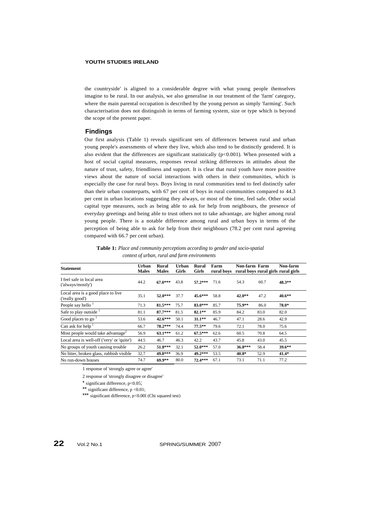the countryside' is aligned to a considerable degree with what young people themselves imagine to be rural. In our analysis, we also generalise in our treatment of the 'farm' category, where the main parental occupation is described by the young person as simply 'farming'. Such characterisation does not distinguish in terms of farming system, size or type which is beyond the scope of the present paper.

## **Findings**

Our first analysis (Table 1) reveals significant sets of differences between rural and urban young people's assessments of where they live, which also tend to be distinctly gendered. It is also evident that the differences are significant statistically  $(p<0.001)$ . When presented with a host of social capital measures, responses reveal striking differences in attitudes about the nature of trust, safety, friendliness and support. It is clear that rural youth have more positive views about the nature of social interactions with others in their communities, which is especially the case for rural boys. Boys living in rural communities tend to feel distinctly safer than their urban counterparts, with 67 per cent of boys in rural communities compared to 44.3 per cent in urban locations suggesting they always, or most of the time, feel safe. Other social capital type measures, such as being able to ask for help from neighbours, the presence of everyday greetings and being able to trust others not to take advantage, are higher among rural young people. There is a notable difference among rural and urban boys in terms of the perception of being able to ask for help from their neighbours (78.2 per cent rural agreeing compared with 66.7 per cent urban).

**Table 1:** *Place and community perceptions according to gender and socio-spatial context of urban, rural and farm environments*

| <b>Statement</b>                                      | <b>Urban</b> | Rural        | Urban | Rural        | Farm                                          | Non-farm Farm |      | Non-farm |
|-------------------------------------------------------|--------------|--------------|-------|--------------|-----------------------------------------------|---------------|------|----------|
|                                                       | <b>Males</b> | <b>Males</b> | Girls | <b>Girls</b> | rural boys rural boys rural girls rural girls |               |      |          |
| I feel safe in local area<br>('always/mostly')        | 44.2         | $67.0***$    | 43.8  | $57.2***$    | 71.6                                          | 54.3          | 60.7 | 48.3**   |
| Local area is a good place to live<br>('really good') | 35.1         | $52.0***$    | 37.7  | $45.6***$    | 58.8                                          | $42.0**$      | 47.2 | $40.6**$ |
| People say hello $1$                                  | 71.3         | 81.5***      | 75.7  | 83.0***      | 85.7                                          | 75.9**        | 86.0 | 78.0*    |
| Safe to play outside $1$                              | 81.1         | $87.7***$    | 81.5  | $82.1**$     | 85.9                                          | 84.2          | 83.0 | 82.0     |
| Good places to go                                     | 53.6         | $42.6***$    | 50.1  | $31.1***$    | 46.7                                          | 47.1          | 28.6 | 42.9     |
| Can ask for help $1$                                  | 66.7         | $78.2***$    | 74.4  | $77.5***$    | 79.6                                          | 72.1          | 78.0 | 75.6     |
| Most people would take advantage <sup>2</sup>         | 56.9         | $63.1***$    | 61.2  | $67.5***$    | 62.6                                          | 60.5          | 70.8 | 64.5     |
| Local area is well-off ('very' or 'quite')            | 44.5         | 46.7         | 46.3  | 42.2         | 43.7                                          | 45.8          | 43.0 | 45.5     |
| No groups of youth causing trouble.                   | 26.2         | 51.8***      | 32.1  | $52.0***$    | 57.0                                          | $36.8***$     | 58.4 | $39.6**$ |
| No litter, broken glass, rubbish visible              | 32.7         | 49.8***      | 36.9  | 49.2***      | 53.5                                          | $40.8*$       | 52.9 | $41.4*$  |
| No run-down houses                                    | 74.7         | $69.9**$     | 80.0  | $72.4***$    | 67.1                                          | 73.1          | 71.1 | 77.2     |

1 response of 'strongly agree or agree'

2 response of 'strongly disagree or disagree'

\* significant difference, p<0.05;

\*\* significant difference,  $p < 0.01$ ;

\*\*\* significant difference, p<0.00l (Chi squared test)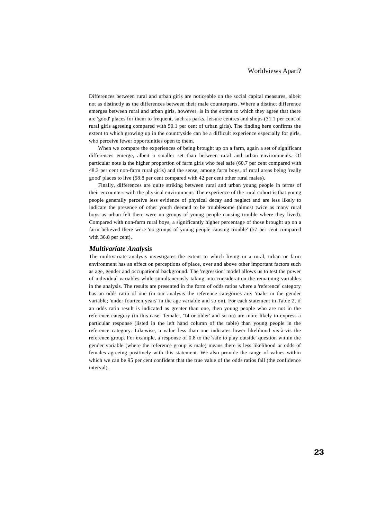Differences between rural and urban girls are noticeable on the social capital measures, albeit not as distinctly as the differences between their male counterparts. Where a distinct difference emerges between rural and urban girls, however, is in the extent to which they agree that there are 'good' places for them to frequent, such as parks, leisure centres and shops (31.1 per cent of rural girls agreeing compared with 50.1 per cent of urban girls). The finding here confirms the extent to which growing up in the countryside can be a difficult experience especially for girls, who perceive fewer opportunities open to them.

When we compare the experiences of being brought up on a farm, again a set of significant differences emerge, albeit a smaller set than between rural and urban environments. Of particular note is the higher proportion of farm girls who feel safe (60.7 per cent compared with 48.3 per cent non-farm rural girls) and the sense, among farm boys, of rural areas being 'really good' places to live (58.8 per cent compared with 42 per cent other rural males).

Finally, differences are quite striking between rural and urban young people in terms of their encounters with the physical environment. The experience of the rural cohort is that young people generally perceive less evidence of physical decay and neglect and are less likely to indicate the presence of other youth deemed to be troublesome (almost twice as many rural boys as urban felt there were no groups of young people causing trouble where they lived). Compared with non-farm rural boys, a significantly higher percentage of those brought up on a farm believed there were 'no groups of young people causing trouble' (57 per cent compared with 36.8 per cent).

#### *Multivariate Analysis*

The multivariate analysis investigates the extent to which living in a rural, urban or farm environment has an effect on perceptions of place, over and above other important factors such as age, gender and occupational background. The 'regression' model allows us to test the power of individual variables while simultaneously taking into consideration the remaining variables in the analysis. The results are presented in the form of odds ratios where a 'reference' category has an odds ratio of one (in our analysis the reference categories are: 'male' in the gender variable; 'under fourteen years' in the age variable and so on). For each statement in Table 2, if an odds ratio result is indicated as greater than one, then young people who are not in the reference category (in this case, 'female', '14 or older' and so on) are more likely to express a particular response (listed in the left hand column of the table) than young people in the reference category. Likewise, a value less than one indicates lower likelihood vis-à-vis the reference group. For example, a response of 0.8 to the 'safe to play outside' question within the gender variable (where the reference group is male) means there is less likelihood or odds of females agreeing positively with this statement. We also provide the range of values within which we can be 95 per cent confident that the true value of the odds ratios fall (the confidence interval).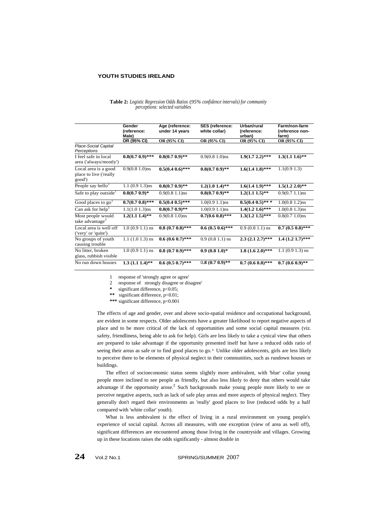|                                                          | Gender<br>(reference:<br>Male) | Age (reference:<br>under 14 years | <b>SES</b> (reference:<br>white collar) | Urban/rural<br>(reference:<br>urban) | Farm/non-farm<br>(reference non-<br>farm) |
|----------------------------------------------------------|--------------------------------|-----------------------------------|-----------------------------------------|--------------------------------------|-------------------------------------------|
|                                                          | OR (95% CI)                    | OR (95% CI)                       | OR (95% CI)                             | OR (95% CI)                          | OR (95% CI)                               |
| Place-Social Capital<br>Perceptions                      |                                |                                   |                                         |                                      |                                           |
| I feel safe in local<br>area ('always/mostly')           | $0.8(0.7 0.9)$ ***             | $0.8(0.7, 0.9)$ **                | $0.9(0.8 1.0)$ ns                       | $1.9(1.7 2.2)$ ***                   | $1.3(1.11.6)$ **                          |
| Local area is a good<br>place to live ('really<br>good') | $0.9(0.8 1.0)$ ns              | $0.5(0.4 0.6)$ ***                | $0.8(0.7 0.9)$ **                       | $1.6(1.41.8)$ ***                    | 1.1(0.91.3)                               |
| People say hello <sup>1</sup>                            | $1.1(0.91.3)$ ns               | $0.8(0.7, 0.9)$ **                | $1.2(1.01.4)$ **                        | $1.6(1.41.9)$ ***                    | $1.5(1.2 2.0)$ **                         |
| Safe to play outside <sup>1</sup>                        | $0.8(0.7 0.9)^*$               | $0.9(0.8 1.1)$ ns                 | $0.8(0.7, 0.9)$ **                      | $1.2(1.11.5)$ **                     | $0.9(0.7 1.1)$ ns                         |
| Good places to $go1$                                     | $0.7(0.7 0.8)$ ***             | $0.5(0.4\;0.5)$ ***               | $1.0(0.9 1.1)$ ns                       | $0.5(0.4\;0.5)$ ***                  | $1.0(0.8 1.2)$ ns                         |
| Can ask for help <sup>1</sup>                            | $1.1(1.0 1.3)$ ns              | $0.8(0.7, 0.9)$ **                | $1.0(0.9 1.1)$ ns                       | $1.4(1.21.6)$ ***                    | $1.0(0.8 1.3)$ ns                         |
| Most people would<br>take advantage <sup>2</sup>         | $1.2(1.11.4)$ **               | $0.9(0.8 1.0)$ ns                 | $0.7(0.6 0.8)$ ***                      | $1.3(1.21.5)$ ***                    | $0.8(0.7, 1.0)$ ns                        |
| Local area is well off<br>('very' or 'quite')            | $1.0(0.91.1)$ ns               | $0.8(0.70.8)$ ***                 | $0.6(0.50.6)$ ***                       | $0.9(0.81.1)$ ns                     | $0.7(0.50.8)$ ***                         |
| No groups of youth<br>causing trouble                    | $1.1(1.01.3)$ ns               | $0.6(0.60.7)$ ***                 | $0.9(0.81.1)$ ns                        | $2.3(2.12.7)$ ***                    | $1.4(1.21.7)$ ***                         |
| No litter, broken<br>glass, rubbish visible              | $1.0(0.91.1)$ ns               | $0.8(0.70.9)$ ***                 | $0.9(0.81.0)*$                          | $1.8(1.62.0)***$                     | $1.1(0.91.3)$ ns                          |
| No run down houses                                       | $1.3(1.11.4)$ **               | $0.6(0.50.7)$ ***                 | $0.8(0.70.9)$ **                        | $0.7(0.60.8)$ ***                    | $0.7(0.60.9)$ **                          |

|  |                                 |  |  | Table 2: Logistic Regression Odds Ratios (95% confidence intervals) for community |
|--|---------------------------------|--|--|-----------------------------------------------------------------------------------|
|  | perceptions: selected variables |  |  |                                                                                   |

1 response of 'strongly agree or agree'

2 response of strongly disagree or disagree'

**\*** significant difference, p<0.05;

**\*\*** significant difference, p<0.01;

**\*\*\*** significant difference, p<0.001

The effects of age and gender, over and above socio-spatial residence and occupational background, are evident in some respects. Older adolescents have a greater likelihood to report negative aspects of place and to be more critical of the lack of opportunities and some social capital measures (viz. safety, friendliness, being able to ask for help). Girls are less likely to take a cynical view that others are prepared to take advantage if the opportunity presented itself but have a reduced odds ratio of seeing their areas as safe or to find good places to go.<sup>1</sup> Unlike older adolescents, girls are less likely to perceive there to be elements of physical neglect in their communities, such as rundown houses or buildings.

The effect of socioeconomic status seems slightly more ambivalent, with 'blue' collar young people more inclined to see people as friendly, but also less likely to deny that others would take advantage if the opportunity arose.<sup>2</sup> Such backgrounds make young people more likely to see or perceive negative aspects, such as lack of safe play areas and more aspects of physical neglect. They generally don't regard their environments as 'really' good places to live (reduced odds by a half compared with 'white collar' youth).

What is less ambivalent is the effect of living in a rural environment on young people's experience of social capital. Across all measures, with one exception (view of area as well off), significant differences are encountered among those living in the countryside and villages. Growing up in these locations raises the odds significantly - almost double in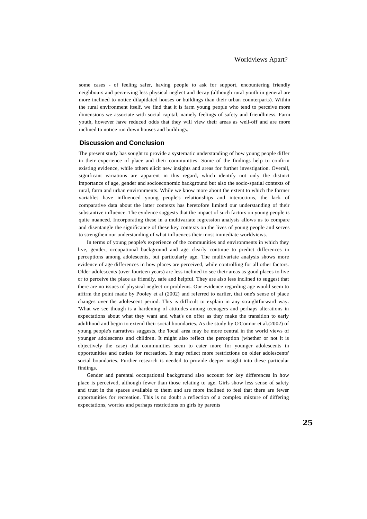some cases - of feeling safer, having people to ask for support, encountering friendly neighbours and perceiving less physical neglect and decay (although rural youth in general are more inclined to notice dilapidated houses or buildings than their urban counterparts). Within the rural environment itself, we find that it is farm young people who tend to perceive more dimensions we associate with social capital, namely feelings of safety and friendliness. Farm youth, however have reduced odds that they will view their areas as well-off and are more inclined to notice run down houses and buildings.

#### **Discussion and Conclusion**

The present study has sought to provide a systematic understanding of how young people differ in their experience of place and their communities. Some of the findings help to confirm existing evidence, while others elicit new insights and areas for further investigation. Overall, significant variations are apparent in this regard, which identify not only the distinct importance of age, gender and socioeconomic background but also the socio-spatial contexts of rural, farm and urban environments. While we know more about the extent to which the former variables have influenced young people's relationships and interactions, the lack of comparative data about the latter contexts has heretofore limited our understanding of their substantive influence. The evidence suggests that the impact of such factors on young people is quite nuanced. Incorporating these in a multivariate regression analysis allows us to compare and disentangle the significance of these key contexts on the lives of young people and serves to strengthen our understanding of what influences their most immediate worldviews.

In terms of young people's experience of the communities and environments in which they live, gender, occupational background and age clearly continue to predict differences in perceptions among adolescents, but particularly age. The multivariate analysis shows more evidence of age differences in how places are perceived, while controlling for all other factors. Older adolescents (over fourteen years) are less inclined to see their areas as good places to live or to perceive the place as friendly, safe and helpful. They are also less inclined to suggest that there are no issues of physical neglect or problems. Our evidence regarding age would seem to affirm the point made by Pooley et al (2002) and referred to earlier, that one's sense of place changes over the adolescent period. This is difficult to explain in any straightforward way. 'What we see though is a hardening of attitudes among teenagers and perhaps alterations in expectations about what they want and what's on offer as they make the transition to early adulthood and begin to extend their social boundaries. As the study by O'Connor et al.(2002) of young people's narratives suggests, the 'local' area may be more central in the world views of younger adolescents and children. It might also reflect the perception (whether or not it is objectively the case) that communities seem to cater more for younger adolescents in opportunities and outlets for recreation. It may reflect more restrictions on older adolescents' social boundaries. Further research is needed to provide deeper insight into these particular findings.

Gender and parental occupational background also account for key differences in how place is perceived, although fewer than those relating to age. Girls show less sense of safety and trust in the spaces available to them and are more inclined to feel that there are fewer opportunities for recreation. This is no doubt a reflection of a complex mixture of differing expectations, worries and perhaps restrictions on girls by parents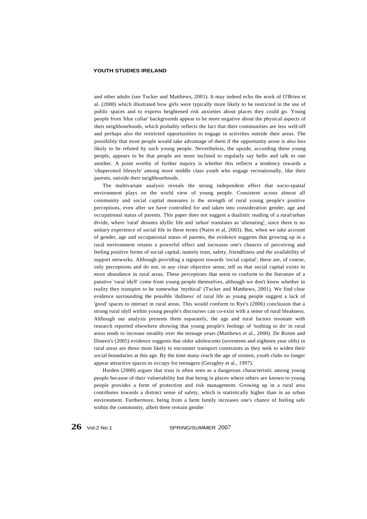and other adults (see Tucker and Matthews, 2001). It may indeed echo the work of O'Brien et al. (2000) which illustrated how girls were typically more likely to be restricted in the use of public spaces and to express heightened risk anxieties about places they could go. Young people from 'blue collar' backgrounds appear to be more negative about the physical aspects of their neighbourhoods, which probably reflects the fact that their communities are less well-off and perhaps also the restricted opportunities to engage in activities outside their areas. The possibility that most people would take advantage of them if the opportunity arose is also less likely to be refuted by such young people. Nevertheless, the upside, according these young people, appears to be that people are more inclined to regularly say hello and talk to one another. A point worthy of further inquiry is whether this reflects a tendency towards a 'chaperoned lifestyle' among more middle class youth who engage recreationally, like their parents, outside their neighbourhoods.

The multivariate analysis reveals the strong independent effect that socio-spatial environment plays on the world view of young people. Consistent across almost all community and social capital measures is the strength of rural young people's positive perceptions, even after we have controlled for and taken into consideration gender, age and occupational status of parents. This paper does not suggest a dualistic reading of a rural/urban divide, where 'rural' denotes idyllic life and 'urban' translates as 'alienating', since there is no unitary experience of social life in these terms (Nairn et al, 2003). But, when we take account of gender, age and occupational status of parents, the evidence suggests that growing up in a rural environment retains a powerful effect and increases one's chances of perceiving and feeling positive forms of social capital, namely trust, safety, friendliness and the availability of support networks. Although providing a signpost towards 'social capital', these are, of course, only perceptions and do not, in any clear objective sense, tell us that social capital exists in more abundance in rural areas. These perceptions that seem to conform to the literature of a putative 'rural idyll' come from young people themselves, although we don't know whether in reality they transpire to be somewhat 'mythical' (Tucker and Matthews, 2001). We find clear evidence surrounding the possible 'dullness' of rural life as young people suggest a lack of 'good' spaces to interact in rural areas. This would conform to Rye's (2006) conclusion that a strong rural idyll within young people's discourses can co-exist with a sense of rural bleakness. Although our analysis presents them separately, the age and rural factors resonate with research reported elsewhere showing that young people's feelings of 'nothing to do' in rural areas tends to increase steadily over the teenage years (Matthews et al., 2000). De Roiste and Dineen's (2005) evidence suggests that older adolescents (seventeen and eighteen year olds) in rural areas are those most likely to encounter transport constraints as they seek to widen their social boundaries at this age. By the time many reach the age of sixteen, youth clubs no longer appear attractive spaces to occupy for teenagers (Geraghty et al., 1997).

Harden (2000) argues that trust is often seen as a dangerous characteristic among young people because of their vulnerability but that being in places where others are known to young people provides a form of protection and risk management. Growing up in a rural area contributes towards a distinct sense of safety, which is statistically higher than in an urban environment. Furthermore, being from a farm family increases one's chance of feeling safe within the community, albeit there remain gender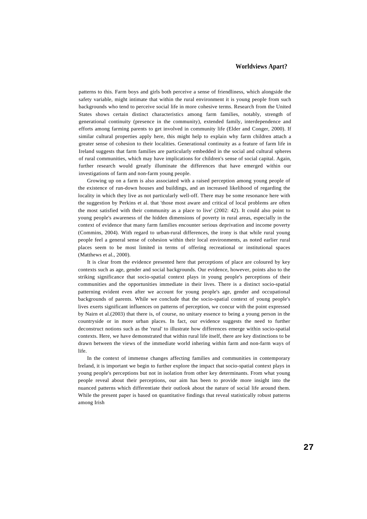patterns to this. Farm boys and girls both perceive a sense of friendliness, which alongside the safety variable, might intimate that within the rural environment it is young people from such backgrounds who tend to perceive social life in more cohesive terms. Research from the United States shows certain distinct characteristics among farm families, notably, strength of generational continuity (presence in the community), extended family, interdependence and efforts among farming parents to get involved in community life (Elder and Conger, 2000). If similar cultural properties apply here, this might help to explain why farm children attach a greater sense of cohesion to their localities. Generational continuity as a feature of farm life in Ireland suggests that farm families are particularly embedded in the social and cultural spheres of rural communities, which may have implications for children's sense of social capital. Again, further research would greatly illuminate the differences that have emerged within our investigations of farm and non-farm young people.

Growing up on a farm is also associated with a raised perception among young people of the existence of run-down houses and buildings, and an increased likelihood of regarding the locality in which they live as not particularly well-off. There may be some resonance here with the suggestion by Perkins et al. that 'those most aware and critical of local problems are often the most satisfied with their community as a place to live' (2002: 42). It could also point to young people's awareness of the hidden dimensions of poverty in rural areas, especially in the context of evidence that many farm families encounter serious deprivation and income poverty (Commins, 2004). With regard to urban-rural differences, the irony is that while rural young people feel a general sense of cohesion within their local environments, as noted earlier rural places seem to be most limited in terms of offering recreational or institutional spaces (Matthews et al., 2000).

It is clear from the evidence presented here that perceptions of place are coloured by key contexts such as age, gender and social backgrounds. Our evidence, however, points also to the striking significance that socio-spatial context plays in young people's perceptions of their communities and the opportunities immediate in their lives. There is a distinct socio-spatial patterning evident even after we account for young people's age, gender and occupational backgrounds of parents. While we conclude that the socio-spatial context of young people's lives exerts significant influences on patterns of perception, we concur with the point expressed by Nairn et al.(2003) that there is, of course, no unitary essence to being a young person in the countryside or in more urban places. In fact, our evidence suggests the need to further deconstruct notions such as the 'rural' to illustrate how differences emerge within socio-spatial contexts. Here, we have demonstrated that within rural life itself, there are key distinctions to be drawn between the views of the immediate world inhering within farm and non-farm ways of life.

In the context of immense changes affecting families and communities in contemporary Ireland, it is important we begin to further explore the impact that socio-spatial context plays in young people's perceptions but not in isolation from other key determinants. From what young people reveal about their perceptions, our aim has been to provide more insight into the nuanced patterns which differentiate their outlook about the nature of social life around them. While the present paper is based on quantitative findings that reveal statistically robust patterns among Irish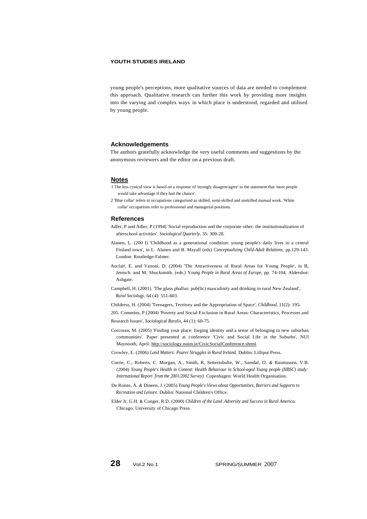young people's perceptions, more qualitative sources of data are needed to complement this approach. Qualitative research can further this work by providing more insights into the varying and complex ways in which place is understood, regarded and utilised by young people.

## **Acknowledgements**

The authors gratefully acknowledge the very useful comments and suggestions by the anonymous reviewers and the editor on a previous draft.

#### **Notes**

- 1 The less cynical view is based on a response of 'strongly disagree/agree' to the statement that 'most people would take advantage if they had the chance'.
- 2 'Blue collar' refers to occupations categorised as skilled, semi-skilled and unskilled manual work. 'White collar' occupations refer to professional and managerial positions.

#### **References**

- Adler, P and Adler, P (1994) 'Social reproduction and the corporate other: the institutionalization of afterschool activities'. *Sociological Quarterly,* 35: 309-28.
- Alanen, L. (200 I) 'Childhood as a generational condition: young people's daily lives in a central Finland town', in L. Alanen and B. Mayall (eds) *Conceptualizing Child-Adult Relations,* pp.129-143. London: Routledge-Falmer.
- Auclair, E. and Vanoni, D. (2004) 'The Attractiveness of Rural Areas for Young People', in B, Jentsch. and M. Shucksmith. (eds.) Y*oung People in Rural Areas of Europe,* pp. 74-104, Aldershot: Ashgate.
- Campbell, H, (2001). 'The glass phallus: pub(lic) masculinity and drinking in rural New Zealand', *Rural Sociology,* 64 (4): 551-603.

Childress, H. (2004) 'Teenagers, Territory and the Appropriation of Space', *Childhood,* 11(2): 195-

205. Commins, P (2004) 'Poverty and Social Exclusion in Rural Areas: Characteristics, Processes and Research Issues', *Sociological Ruralis,* 44 (1): 60-75.

Corcoran, M. (2005) 'Finding your place: forging identity and a sense of belonging in new suburban communities'. Paper presented at conference 'Civic and Social Life in the Suburbs', NUl Maynooth, April.<http://sociology.nuim.ie/CivicSociaIConference.shtml>

Crowley, E. (2006) *Land Matters: Pourer Struggles in Rural Ireland.* Dublin: Lilliput Press.

- Currie, C., Roberts, C. Morgan, A., Smith, R. Settertobulte, W., Samdal, O. & Rasmussen, V.B. (2004) *Young People's Health in Context: Health Behaviour in School-aged Young people (HBSC) study: International Report from the 2001/2002 Survey).* Copenhagen: World Health Organisation.
- De Roiste, Á. & Dineen, J. (2005) *Young People's Views about Opportunities, Barriers and Supports to Recreation and Leisure.* Dublin: National Children's Office.
- Elder Jr, G.H. & Conger, R.D. (2000) *Children of the Land .Adversity and Success in Rural America.* Chicago: University of Chicago Press.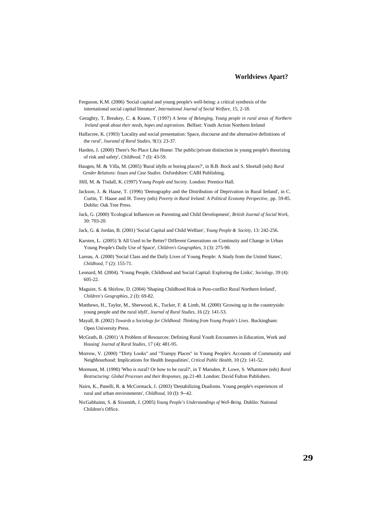- Ferguson, K.M. (2006) 'Social capital and young people's well-being: a critical synthesis of the international social capital literature', *International Journal of Social Welfare,* 15, 2-18.
- Geraghty, T, Breakey, C. & Keane, T (1997) *A Sense of Belonging, Young people in rural areas of Northern Ireland speak about their needs, hopes and aspirations.* Belfast: Youth Action Northern Ireland
- Halfacree, K. (1993) 'Locality and social presentation: Space, discourse and the alternative definitions of the *rural', Jouranal of Rural Studies,* 9(1): 23-37.
- Harden, J. (2000) There's No Place Like Home: The public/private distinction in young people's theorizing of risk and safety', *Childhood,* 7 (I): 43-59.
- Haugen, M. & Villa, M. (2005) 'Rural idylls or boring places?', in B.B. Bock and S. Shortall (eds) *Rural Gender Relations: Issues and Case Studies.* Oxfordshire: CABI Publishing.
- Hill, M. & Tisdall, K. (1997) Y*oung People and Society.* London: Prentice Hall.
- Jackson, J. & Haase, T. (1996) 'Demography and the Distribution of Deprivation in Rural Ireland', in C. Curtin, T. Haase and H. Tovey (eds) *Poverty in Rural Ireland: A Political Economy Perspective,* pp. 59-85. Dublin: Oak Tree Press.
- Jack, G. (2000) 'Ecological Influences on Parenting and Child Development', *British Journal of Social Work,* 30: 703-20.
- Jack, G. & Jordan, B. (2001) 'Social Capital and Child Welfare', *Young People & Society,* 13: 242-256.
- Karsten, L. (2005) 'It All Used to be Better? Different Generations on Continuity and Change in Urban Young People's Daily Use of Space', *Children's Geographies,* 3 (3): 275-90.
- Lareau, A. (2000) 'Social Class and the Daily Lives of Young People: A Study from the United States', *Childhood,* 7 (2): 155-71.
- Leonard, M. (2004). 'Young People, Childhood and Social Capital: Exploring the Links', *Sociology,* 39 (4): 605-22.
- Maguire, S. & Shirlow, D. (2004) 'Shaping Childhood Risk in Post-conflict Rural Northern Ireland', *Children's Geographies,* 2 (I): 69-82.
- Matthews, H., Taylor, M., Sherwood, K., Tucker, F. & Limb, M. (2000) 'Growing up in the countryside: young people and the rural idyll', *Journal of Rural Studies,* 16 (2): 141-53.
- Mayall, B. (2002) *Towards a Sociology for Childhood: Thinking from Young People's Lives.* Buckingham: Open University Press.
- McGrath, B. (2001) 'A Problem of Resources: Defining Rural Youth Encounters in Education, Work and Housing' *Journal of Rural Studies,* 17 (4): 481-95.
- Morrow, V. (2000) "'Dirty Looks" and "Trampy Places" in Young People's Accounts of Community and Neighbourhood: Implications for Health Inequalities', *Critical Public Health,* 10 (2): 141-52.
- Mormont, M. (1990) 'Who is rural? Or how to be rural?', in T Marsden, P. Lowe, S. Whatmore (eds) *Rural Restructuring: Global Processes and their Responses,* pp.21-40. London: David Fulton Publishers.
- Nairn, K., Panelli, R. & McCormack, J. (2003) 'Destabilizing Dualisms. Young people's experiences of rural and urban environments', *Childhood,* 10 (I): 9--42.
- NicGabhainn, S. & Sixsmith, J. (2005) *Young People's Understandings of Well-Being.* Dublin: National Children's Office.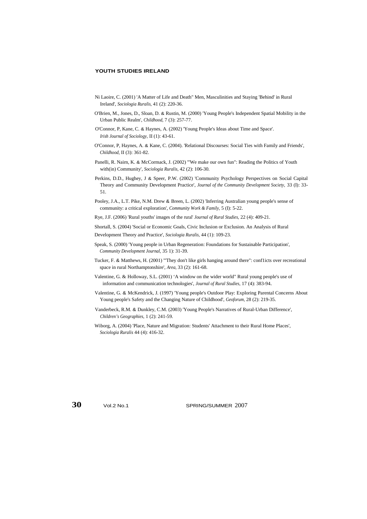- Ni Laoire, C. (2001) 'A Matter of Life and Death" Men, Masculinities and Staying 'Behind' in Rural Ireland', *Sociologia Ruralis,* 41 (2): 220-36.
- O'Brien, M., Jones, D., Sloan, D. & Rustin, M. (2000) 'Young People's Independent Spatial Mobility in the Urban Public Realm', *Childhood,* 7 (3): 257-77.
- O'Connor, P, Kane, C. & Haynes, A. (2002) 'Young People's Ideas about Time and Space'. *Irish Journal of Sociology,* II (1): 43-61.
- O'Connor, P, Haynes, A. & Kane, C. (2004). 'Relational Discourses: Social Ties with Family and Friends', *Childhood,* II (3): 361-82.
- Panelli, R. Nairn, K. & McCormack, J. (2002) '''We make our own fun": Reading the Politics of Youth with(in) Community', *Sociologia Ruralis,* 42 (2): 106-30.
- Perkins, D.D., Hughey, J & Speer, P.W. (2002) 'Community Psychology Perspectives on Social Capital Theory and Community Development Practice', *Journal of the Community Development Society,* 33 (I): 33- 51.
- Pooley, J.A., L.T. Pike, N.M. Drew & Breen, L. (2002) 'Inferring Australian young people's sense of community: a critical exploration', *Community Work & Family,* 5 (I): 5-22.
- Rye, J.F. (2006) 'Rural youths' images of the rural' *Journal of Rural Studies,* 22 (4): 409-21.
- Shortall, S. (2004) 'Social or Economic Goals, Civic Inclusion or Exclusion. An Analysis of Rural Development Theory and Practice', *Sociologia Ruralis,* 44 (1): 109-23.
- Speak, S. (2000) 'Young people in Urban Regeneration: Foundations for Sustainable Participation', *Community Development Journal,* 35 1): 31-39.
- Tucker, F. & Matthews, H. (2001) "'They don't like girls hanging around there": conf1icts over recreational space in rural Northamptonshire', *Area,* 33 (2): 161-68.
- Valentine, G. & Holloway, S.L. (2001) 'A window on the wider world" Rural young people's use of information and communication technologies', *Journal of Rural Studies,* 17 (4): 383-94.
- Valentine, G. & McKendrick, J. (1997) 'Young people's Outdoor Play: Exploring Parental Concerns About Young people's Safety and the Changing Nature of Childhood', *Geoforum,* 28 (2): 219-35.
- Vanderbeck, R.M. & Dunkley, C.M. (2003) 'Young People's Narratives of Rural-Urban Difference', *Children's Geographies,* 1 (2): 241-59.
- Wiborg, A. (2004) 'Place, Nature and Migration: Students' Attachment to their Rural Home Places', *Sociologia Ruralis* 44 (4): 416-32.